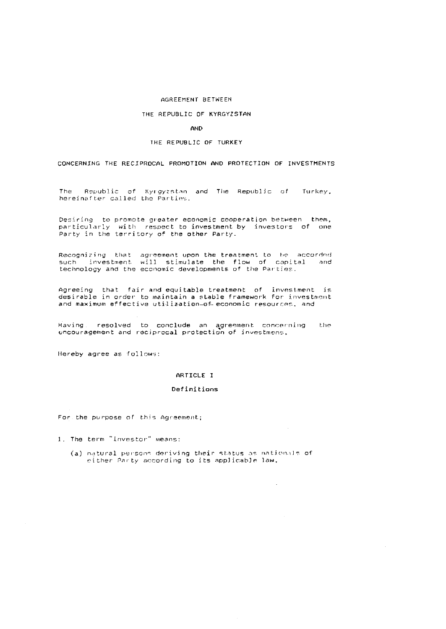## AGREEMENT BETWEEN

#### THE REPUBLIC OF KYRGYZSTAN

**AND** 

THE REPUBLIC OF TURKEY

CONCERNING THE RECIPROCAL PROMOTION AND PROTECTION OF INVESTMENTS

Republic of Kyrgyzstan and The Republic of **The** Turkey. hereinafter called the Parties.

Desiring to promote greater economic cooperation between them, particularly with respect to investment by investors of one Party in the territory of the other Party.

Recognizing that agreement upon the treatment to be accorded such investment will stimulate the flow of capital and technology and the economic developments of the Parties.

Agreeing that fair and equitable treatment of investment is<br>desirable in order to maintain a stable framework for investment and maximum effective utilization-of economic resources, and

Having resolved to conclude an agreement concerning the encouragement and reciprocal protection of investmens.

Hereby agree as follows:

## ARTICLE I

## Definitions

For the purpose of this Agreement;

1. The term "investor" means:

(a) natural persons deriving their status as nationals of either Party according to its applicable law.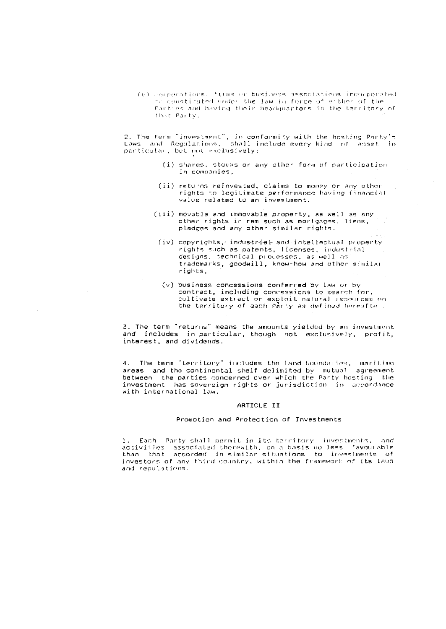(b) corporations, firms or business associations incorporated or constituted under the law in force of either of the Parties and having their headquarters in the territory of that Party.

2. The term "investment", in conformity with the hosting Party's<br>Laws<sub>,</sub> and Regulations, shall include every kind of asset in particular, but not exclusively:

- (i) shares, stocks or any other form of participation in companies,
- (ii) returns reinvested, claims to money or any other rights to legitimate performance having financial value related to an investment.
- (iii) movable and immovable property, as well as any other rights in rem such as mortgages, liens, pledges and any other similar rights.
	- (iv) copyrights, industrial and intellectual property rights such as patents, licenses, industrial designs, technical processes, as well as trademarks, goodwill, know-how and other similar rights.
	- (v) business concessions conferred by law or by contract, including concessions to search for, cultivate extract or exploit natural resources on the territory of each Party as defined hereafter.

3. The term "returns" means the amounts yielded by an investment<br>and fincludes in particular, though not exclusively, profit, interest, and dividends.

4. The term "territory" includes the land boundaries, maritime areas and the continental shelf delimited by mutual agreement<br>between the parties concerned over which the Party hosting the<br>investment has sovereign rights or jurisdiction in accordance with international law.

#### ARTICLE II

#### Promotion and Protection of Investments

1. Each Party shall permit in its territory investments, and activities associated thorewith, on a basis no less favourable than that accorded in-similar-situations to investments of investors of any third country, within the framework of its laws and regulations.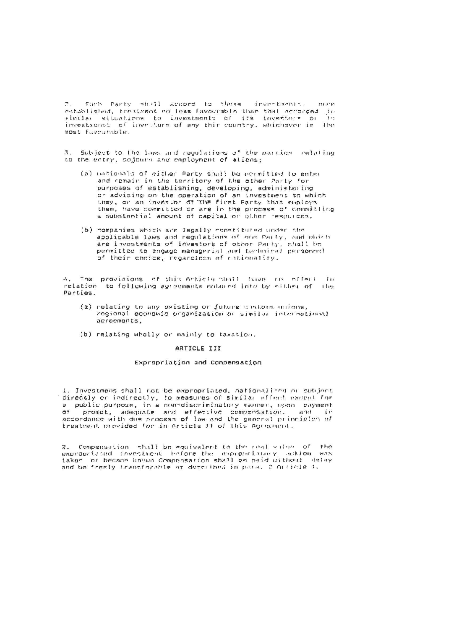2. Each Party shift accord to these investments.  $C1111733$ established, treatment no less favourable than that accorded in similar situations to investments of its investors or h n investmenst of investors of any thir country, whichever is the most favourable.

3. Subject to the laws and regulations of the partics relating to the entry, sojourn and employment of aliens;

- (a) nationals of either Party shall be permitted to enter and remain in the territory of the other Party for purposes of establishing, developing, administering or advising on the operation of an investment to which they, or an investor of the first Party that employs them, have committed or are in the process of committing a substantial amount of capital or other resemences,
- (b) nompanies which are legally constituted under the applicable laws and regulations of one Party, and which are investments of investors of other Party, shall be permitted to engage managerial and technical personnel of their choice, regardless of nationality.

4. The provisions of this Article shall have no offer! In relation to following agreements entered into by either of the Parties.

- (a) relating to any existing or future customs unions,<br>regional economic organization or similar international agroements,
- (b) relating wholly or mainly to taxation.

## ARTICLE III

### Expropriation and Compensation

1. Investmens shall not be expropriated, nationalized or subject directly or indirectly, to measures of similar effect except for a public purpose, in a non-discriminatory manner, upon payment of prompt, adequate and effective compensation, and in accordance with due process of law and the general principles of treatment provided for in Article II of this Agreement.

2. Compensation whall be equivalent to the real value of the expropriated investment before the expropriatory addion was taken or became known Compensation shall be paid without delay and be freely transferable as described in para. 2 Article 4.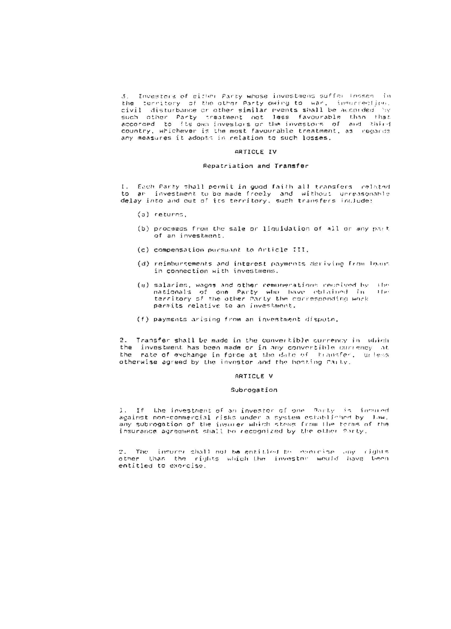3, Investors of citter Party whose investment suffer insses in<br>the ferritory of the other Party owing to war, insurrection. civil disturbance or other similar events shall be accorded by such other Party prestment not less favourable than that<br>accorded to its own investors or the investors of and third country, whichever is the most favourable treatment, as regards<br>any measures it adopts in relation to such losses.

## ARTICLE IV

## Repatriation and Transfer

I. Each Party shall permit in good faith all transfers related<br>to arl investment to be made freely and without unreasonable<br>delay into and out of its territory, such transfers include:

- $(a)$  returns,
- (b) proceeds from the sale or liquidation of all or any part of an investment.
- (c) compensation pursuant to Article III,
- (d) reimbursements and interest payments deriving from loans in connection with investmens.
- (e) salaries, wagns and other remunerations received by  $1114$ nationals of one Party who have oblained in  $110.5$ territory of the other Party the corresponding work permits relative to an investment.
- (f) payments arising from an investment dispute.

2. Transfer shall be made in the convertible currency in which the investment has been made or in any convertible currency at the rate of exchange in force at the date of transfer, unless otherwise agreed by the investor and the hosting Party.

## ARTICLE V

#### Subrogation

1. If the investment of an investor of one Party is insured against non-commercial risks under a system eshabliched by Jow. any subrogation of the insurer which stems from the terms of the insurance agreement shall be recognized by the other forty.

2. The insure shall not be entitled to conceise any rights<br>other than the rights which the investor would have been entitled to exercise.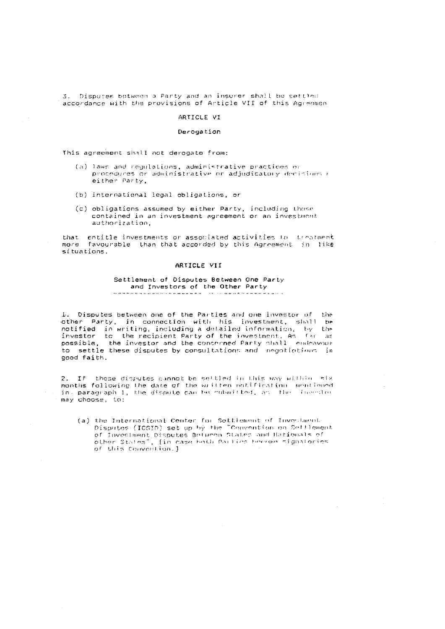3. Disputes between a Party and an insurer shall be settled accordance with the provisions of Article VII of this Agreemen

## ARTICLE VI

#### Derogation

This agreement shall not derogate from:

- (a) laws and regulations, administrative practices or procedures or administrative or adjudicatory decisions r either Party,
- (b) international legal obligations, or
- (c) obligations assumed by either Party, including those contained in an investment agreement or an investment authorization.

that entitle investments or associated activities to treatment more favourable than that accorded by this Agreement in like sítuations.

## ARTICLE VII

#### Settlement of Disputes Between One Party and Investors of the Other Party the company of the company of the company of the company of the company of the company of the company of the company of the company of the company of the company of the company of the company of the company of the company

Ar Disputes between one of the Parties and one investor of the other Party, in connection with his investment, shall be notified in writing, including a detailed information, by the investor to the recipient Party of the investment. As far as possible, the investor and the concerned Party shall endeavour to settle these disputes by consultations and negotiotions in good faith.

2. If these disputes cannot be settled in this way within six months following the date of the written notification, mentioned in paragraph 1, the dispute can be mibalt ted, as the investor may choose, to:

(a) the International Center for Settlement of Investment<br>Disputes (ICSID) set up by the "Convention on Settlement<br>of Investment Disputes Between States and Mationals of other States", [in case both Paulies become signatories of this Convention. ]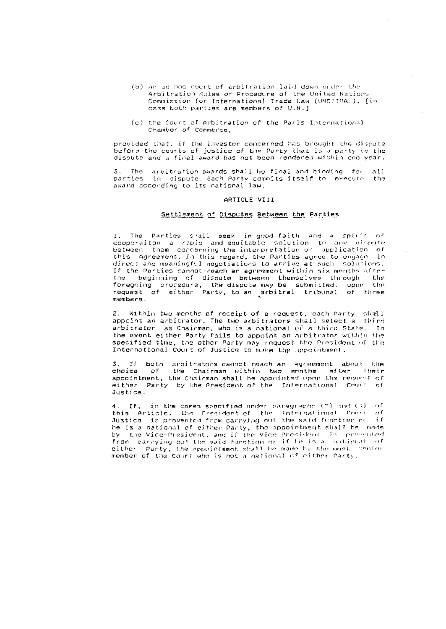- (b) an ad hoc court of arbitration laid down under the Arbitration Rules of Procedure of the United Nations Commission for International Trade Law (UNCITRAL), [in case both parties are members of U.N.]
- (c) the Court of Arbitration of the Paris International Chamber of Commerce.

provided that, if the investor concerned has brought the dispute<br>before the courts of justice of the Party that is a party to the dispute and a final award has not been rendered within one year.

3. The arbitration awards shall be final and binding for all parties in dispute. Each Party commits itself to execute the award according to its national law.

## ARTICLE VIII

### Settlement of Disputes Between the Parties

1. The Parties shall seek in good faith and a spirit of cooperaiton a rapid and equitable solution to any dispute<br>between them concerning the interpretation or application of this Agreement. In this regard, the Parties agree to engage in direct and meaningful negotiations to anrive at such solutions. If the Parties cannot-reach an agreement within six months after the beginning of dispute between themselves through the<br>foregoing procedure, the dispute may be submitted, upon the<br>request of either Party, to an arbitral tribunal of three members.

2. Within two months of receipt of a request, each Party shoot! appoint an arbitrator. The two arbitrators shall select a third arbitrator as Chairman, who is a national of a third State. In the event either Party fails to appoint an arbitrator within the specified time, the other Party may request the President of the International Court of Justice to make the appointment.

3. If both arbitrators cannot reach an agreement about the choice of the Chairman within two months after their<br>appointment, the Chairman shall be appointed upon the request of either Party by the President of the International Court of Justice.

4. If, in the cases specified under paragraphs (2) and (3) of this Article, the President-of the International Court of Justice is prevented from carrying out the said function or if he is a national of either Party, the appointment shall be made by the Vice-President, and if the Vice President is presented from carrying out the said function or if be is a mational of either Party, the appointment shall be made by the most centur member of the Court who is not a national of either Party.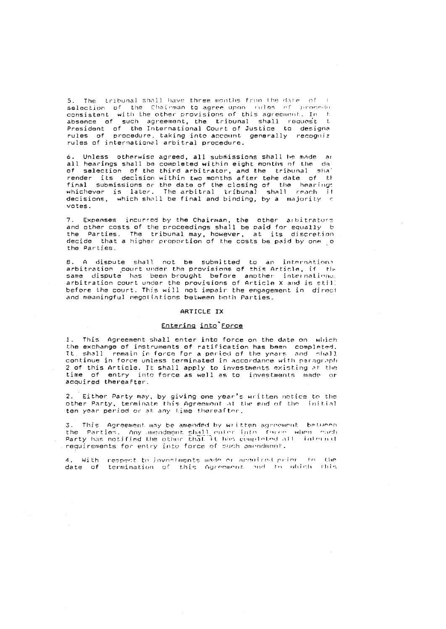5. The tribunal shall have three months from the date of I selection of the Chairman to agree upon rules of procedu consistent with the other provisions of this agreement. In the absence of such agreement, the tribunal shall request t President of the International Court of Justice to designa rules of procedure, taking into account generally recogniz rules of international arbitral procedure.

6. Unless otherwise agreed, all submissions shall be made an all hearings shall be completed within eight months of the dar of selection of the third arbitrator, and the tribunal shall render its decision within two months after tehe date of th final submissions or the date of the closing of the hearings whichever is later. The arbitral tribunal shall reach if decisions, which shall be final and binding, by a majority  $\epsilon$ votes

7. Expenses incurred by the Chairman, the other arbitrators and other costs of the proceedings shall be paid for equally by the Parties. The tribunal may, however, at its discretion decide that a higher proportion of the costs be paid by one o the Parties.

B. A dispute shall not be submitted to an international<br>arbitration court-under-the-provisions-of-this-Article, if the same dispute has been brought before another international arbitration court under the provisions of Article X and is still before the court. This will not impair the engagement in direct and meaningful negotiations between both Parties.

#### ARTICLE IX

# Entering into Force

1. This Agreement shall enter into force on the date on which the exchange of instruments of ratification has been completed. (t) shall remain in force for a period of the years and shall continue in force unless terminated in accordance with paragraph 2 of this Article. It shall apply to investments existing at the time of entry into force as well as to investments made or acquired thereafter.

2. Either Party may, by giving one year's written notice to the other Party, terminate this Agreement at the end of the initial ten year period or at any time thereafter.

3. This Agreement may be amended by written agreement between the Parties. Any amenginant shall cuted into force when each<br>Party has notified the other that it has completed all internat requirements for entry into force of such amondment.

4. With respect to investments made or acquired prior  $t \alpha$  the date of termination of this Agreement and to which this